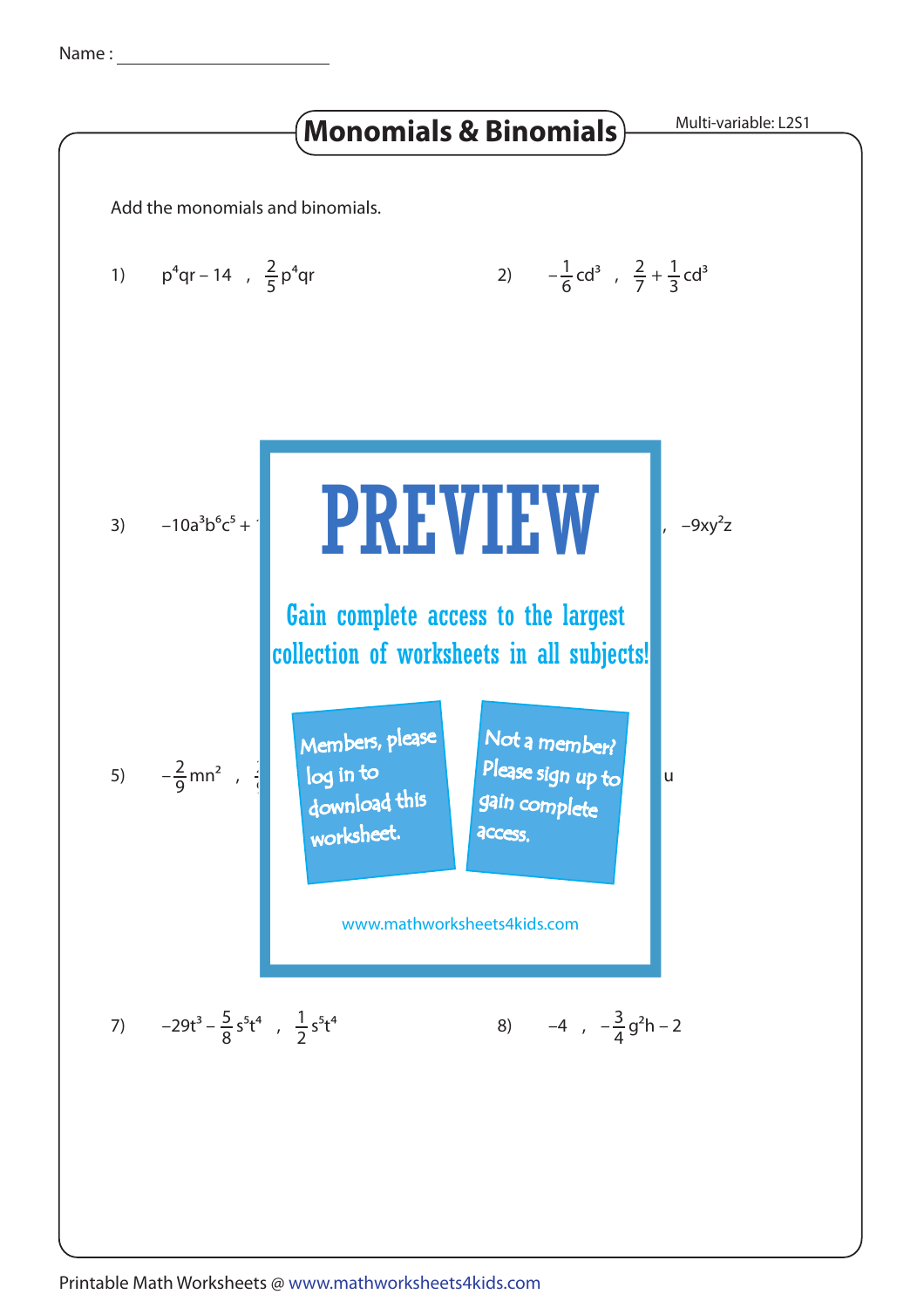